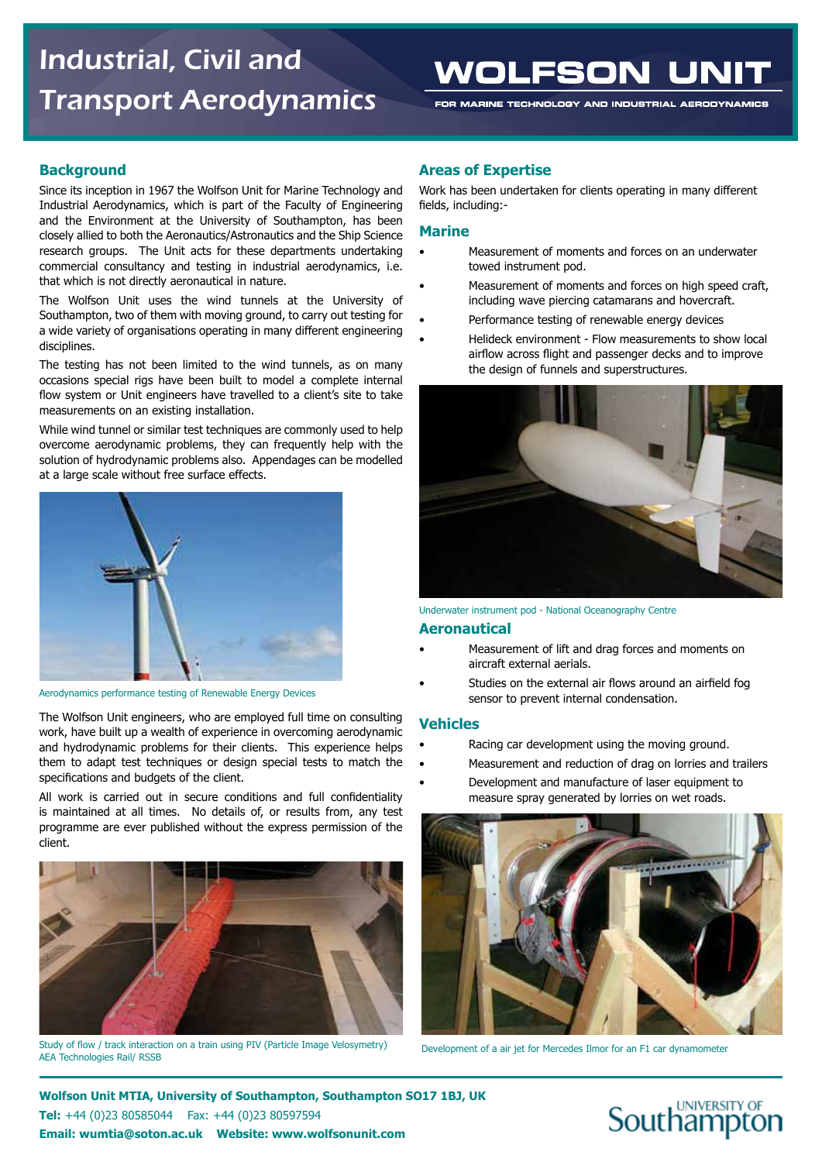# Industrial, Civil and Transport Aerodynamics

# WOLFSON UNIT

FOR MARINE TECHNOLOGY AND INDUSTRIAL AERODYNAMICS

### **Background**

Since its inception in 1967 the Wolfson Unit for Marine Technology and Industrial Aerodynamics, which is part of the Faculty of Engineering and the Environment at the University of Southampton, has been closely allied to both the Aeronautics/Astronautics and the Ship Science research groups. The Unit acts for these departments undertaking commercial consultancy and testing in industrial aerodynamics, i.e. that which is not directly aeronautical in nature.

The Wolfson Unit uses the wind tunnels at the University of Southampton, two of them with moving ground, to carry out testing for a wide variety of organisations operating in many different engineering disciplines.

The testing has not been limited to the wind tunnels, as on many occasions special rigs have been built to model a complete internal flow system or Unit engineers have travelled to a client's site to take measurements on an existing installation.

While wind tunnel or similar test techniques are commonly used to help overcome aerodynamic problems, they can frequently help with the solution of hydrodynamic problems also. Appendages can be modelled at a large scale without free surface effects.



Aerodynamics performance testing of Renewable Energy Devices

The Wolfson Unit engineers, who are employed full time on consulting work, have built up a wealth of experience in overcoming aerodynamic and hydrodynamic problems for their clients. This experience helps them to adapt test techniques or design special tests to match the specifications and budgets of the client.

All work is carried out in secure conditions and full confidentiality is maintained at all times. No details of, or results from, any test programme are ever published without the express permission of the client.



Study of flow / track interaction on a train using PIV (Particle Image Velosymetry) AEA Technologies Rail/ RSSB

### **Areas of Expertise**

Work has been undertaken for clients operating in many different fields, including:-

#### **Marine**

- Measurement of moments and forces on an underwater towed instrument pod.
- Measurement of moments and forces on high speed craft, including wave piercing catamarans and hovercraft.
- Performance testing of renewable energy devices
- Helideck environment Flow measurements to show local airflow across flight and passenger decks and to improve the design of funnels and superstructures.



Underwater instrument pod - National Oceanography Centre

#### **Aeronautical**

- Measurement of lift and drag forces and moments on aircraft external aerials.
- Studies on the external air flows around an airfield fog sensor to prevent internal condensation.

#### **Vehicles**

- Racing car development using the moving ground.
- Measurement and reduction of drag on lorries and trailers
- Development and manufacture of laser equipment to measure spray generated by lorries on wet roads.



Development of a air jet for Mercedes Ilmor for an F1 car dynamometer

**Wolfson Unit MTIA, University of Southampton, Southampton SO17 1BJ, UK Tel:** +44 (0)23 80585044 Fax: +44 (0)23 80597594 **Email: wumtia@soton.ac.uk Website: www.wolfsonunit.com** 

# **Southampton**